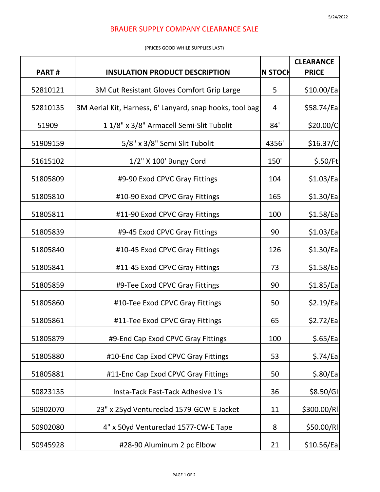## BRAUER SUPPLY COMPANY CLEARANCE SALE

## (PRICES GOOD WHILE SUPPLIES LAST)

|              |                                                          |                | <b>CLEARANCE</b> |
|--------------|----------------------------------------------------------|----------------|------------------|
| <b>PART#</b> | <b>INSULATION PRODUCT DESCRIPTION</b>                    | <b>N STOCK</b> | <b>PRICE</b>     |
| 52810121     | 3M Cut Resistant Gloves Comfort Grip Large               | 5              | \$10.00/Eq       |
| 52810135     | 3M Aerial Kit, Harness, 6' Lanyard, snap hooks, tool bag | 4              | \$58.74/Ea       |
| 51909        | 11/8" x 3/8" Armacell Semi-Slit Tubolit                  | 84'            | \$20.00/C        |
| 51909159     | 5/8" x 3/8" Semi-Slit Tubolit                            | 4356'          | \$16.37/C        |
| 51615102     | 1/2" X 100' Bungy Cord                                   | 150'           | \$.50/ft         |
| 51805809     | #9-90 Exod CPVC Gray Fittings                            | 104            | \$1.03/Ea        |
| 51805810     | #10-90 Exod CPVC Gray Fittings                           | 165            | \$1.30/Eq        |
| 51805811     | #11-90 Exod CPVC Gray Fittings                           | 100            | \$1.58/Eq        |
| 51805839     | #9-45 Exod CPVC Gray Fittings                            | 90             | \$1.03/Ea        |
| 51805840     | #10-45 Exod CPVC Gray Fittings                           | 126            | \$1.30/Eq        |
| 51805841     | #11-45 Exod CPVC Gray Fittings                           | 73             | \$1.58/Ea        |
| 51805859     | #9-Tee Exod CPVC Gray Fittings                           | 90             | \$1.85/Eq        |
| 51805860     | #10-Tee Exod CPVC Gray Fittings                          | 50             | \$2.19/Ea        |
| 51805861     | #11-Tee Exod CPVC Gray Fittings                          | 65             | \$2.72/Ea        |
| 51805879     | #9-End Cap Exod CPVC Gray Fittings                       | 100            | \$.65/Eq         |
| 51805880     | #10-End Cap Exod CPVC Gray Fittings                      | 53             | \$.74/Eq         |
| 51805881     | #11-End Cap Exod CPVC Gray Fittings                      | 50             | \$.80/Eq         |
| 50823135     | Insta-Tack Fast-Tack Adhesive 1's                        | 36             | \$8.50/GI        |
| 50902070     | 23" x 25yd Ventureclad 1579-GCW-E Jacket                 | 11             | \$300.00/RI      |
| 50902080     | 4" x 50yd Ventureclad 1577-CW-E Tape                     | 8              | \$50.00/RI       |
| 50945928     | #28-90 Aluminum 2 pc Elbow                               | 21             | \$10.56/Ea       |